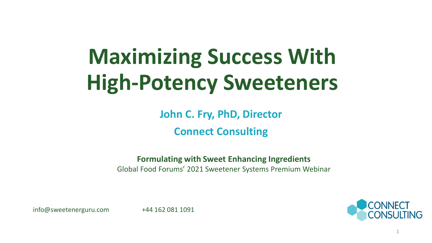# **Maximizing Success With High-Potency Sweeteners**

**John C. Fry, PhD, Director Connect Consulting** 

**Formulating with Sweet Enhancing Ingredients** Global Food Forums' 2021 Sweetener Systems Premium Webinar

info@sweetenerguru.com +44 162 081 1091

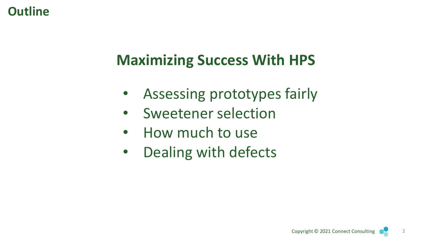## **Outline**

# **Maximizing Success With HPS**

- Assessing prototypes fairly
- Sweetener selection
- How much to use
- Dealing with defects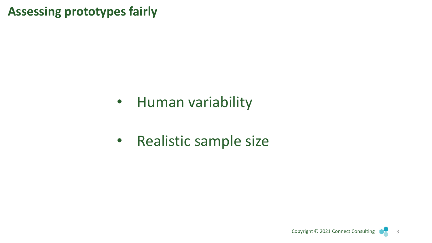**Assessing prototypes fairly**

- Human variability
- Realistic sample size

3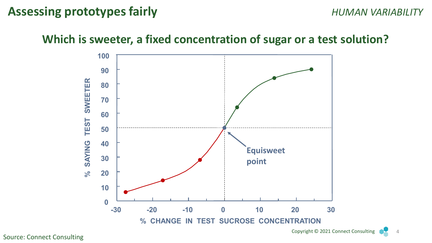#### **Assessing prototypes fairly** *HUMAN VARIABILITY*

#### **Which is sweeter, a fixed concentration of sugar or a test solution?**



Source: Connect Consulting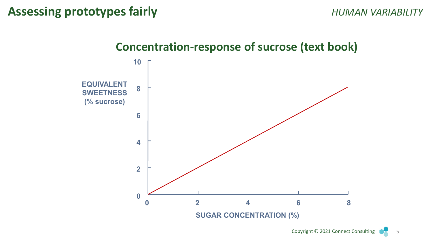

#### **Concentration-response of sucrose (text book)**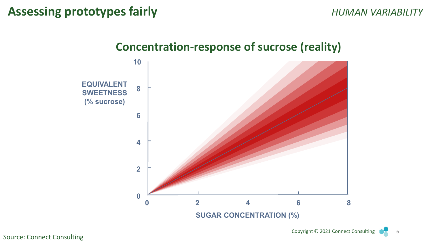

# **Concentration-response of sucrose (reality)**

Source: Connect Consulting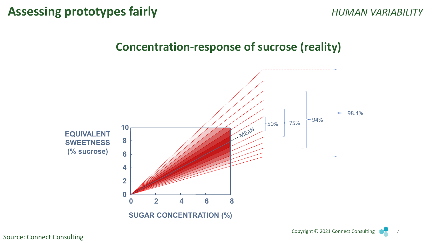#### **Concentration-response of sucrose (reality)**



Source: Connect Consulting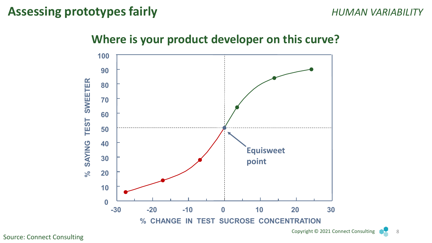#### **Assessing prototypes fairly Assessing prototypes fairly Alleger Alleger MELIC** *HUMAN VARIABILITY*





Source: Connect Consulting

Copyright © 2021 Connect Consulting 8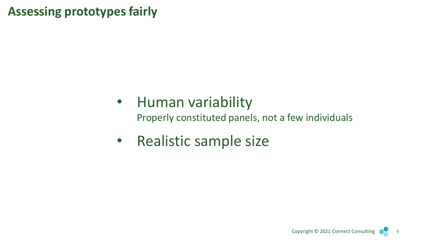## **Assessing prototypes fairly**

# • Human variability

Properly constituted panels, not a few individuals

• Realistic sample size

9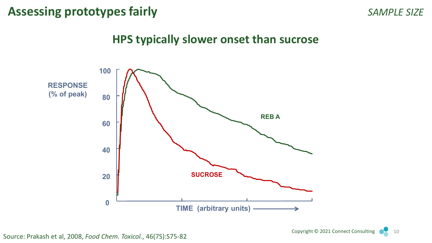### **Assessing prototypes fairly** *SAMPLE SIZE*

#### **HPS typically slower onset than sucrose**

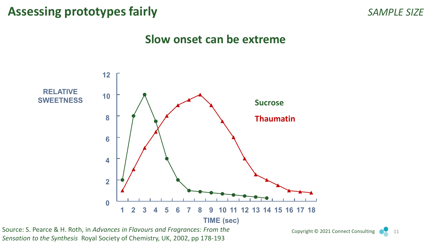### **Assessing prototypes fairly** *SAMPLE SIZE*

#### **Slow onset can be extreme**



*Sensation to the Synthesis* Royal Society of Chemistry, UK, 2002, pp 178-193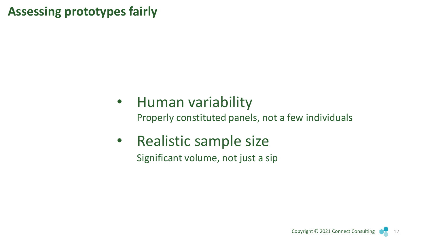## **Assessing prototypes fairly**

# • Human variability

Properly constituted panels, not a few individuals

• Realistic sample size Significant volume, not just a sip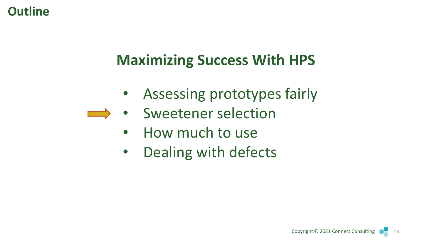## **Outline**

# **Maximizing Success With HPS**

- Assessing prototypes fairly
- Sweetener selection  $\longrightarrow$ 
	- How much to use
	- Dealing with defects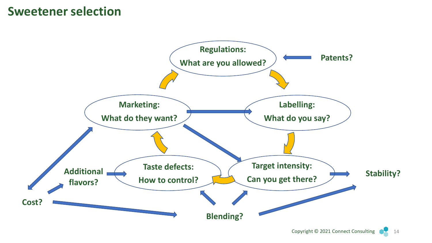#### **Sweetener selection**

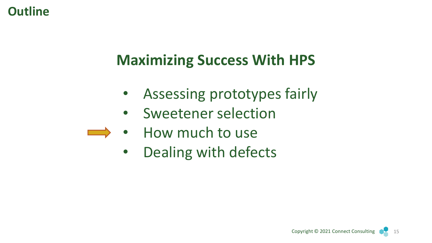## **Outline**

# **Maximizing Success With HPS**

- Assessing prototypes fairly
- Sweetener selection
- How much to use
	- Dealing with defects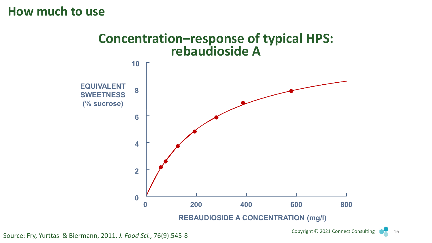#### **How much to use**

# **Concentration–response of typical HPS: rebaudioside A**



Source: Fry, Yurttas & Biermann, 2011, *J. Food Sci.*, 76(9):545-8

Copyright © 2021 Connect Consulting 16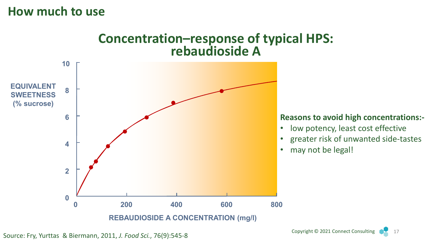#### **How much to use**

### **Concentration–response of typical HPS: rebaudioside A**



Source: Fry, Yurttas & Biermann, 2011, *J. Food Sci.*, 76(9):545-8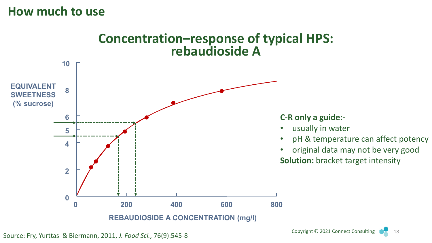#### **How much to use**



Source: Fry, Yurttas & Biermann, 2011, *J. Food Sci.*, 76(9):545-8

Copyright © 2021 Connect Consulting 18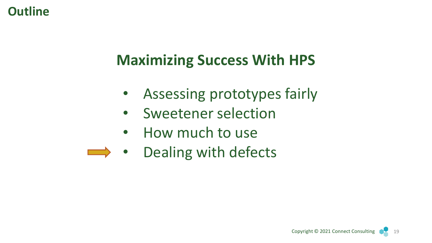## **Outline**

# **Maximizing Success With HPS**

- Assessing prototypes fairly
- Sweetener selection
- How much to use
- Dealing with defects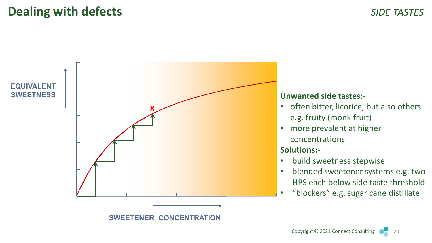## **Dealing with defects** *SIDE TASTES*



- often bitter, licorice, but also others e.g. fruity (monk fruit)
- more prevalent at higher concentrations

#### **Solutions:-**

- build sweetness stepwise
- blended sweetener systems e.g. two HPS each below side taste threshold
- "blockers" e.g. sugar cane distillate

**SWEETENER CONCENTRATION**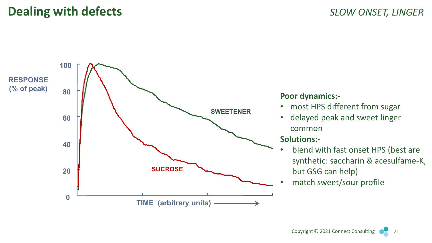

#### **Poor dynamics:-**

- most HPS different from sugar
- delayed peak and sweet linger common

#### **Solutions:-**

- blend with fast onset HPS (best are synthetic: saccharin & acesulfame-K, but GSG can help)
- match sweet/sour profile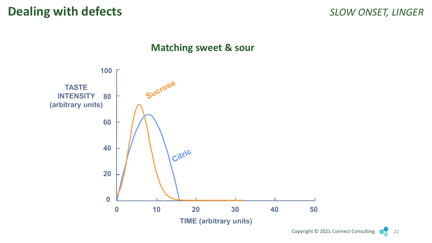#### **Matching sweet & sour**



Copyright © 2021 Connect Consulting 22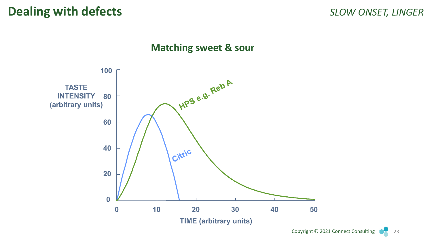#### **Matching sweet & sour**



Copyright © 2021 Connect Consulting 23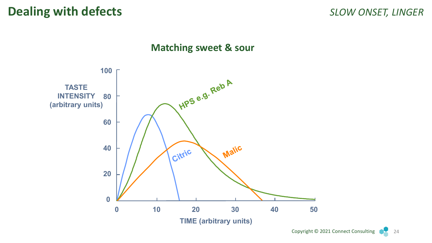#### **Matching sweet & sour**

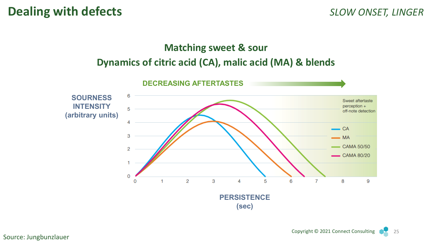#### **Matching sweet & sour Dynamics of citric acid (CA), malic acid (MA) & blends**



Copyright © 2021 Connect Consulting 25

Source: Jungbunzlauer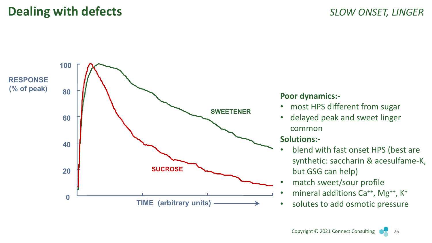![](_page_25_Figure_2.jpeg)

#### **Poor dynamics:-**

- most HPS different from sugar
- delayed peak and sweet linger common

#### **Solutions:-**

- blend with fast onset HPS (best are synthetic: saccharin & acesulfame-K, but GSG can help)
- match sweet/sour profile
- mineral additions Ca<sup>++</sup>, Mg<sup>++</sup>, K<sup>+</sup>
- solutes to add osmotic pressure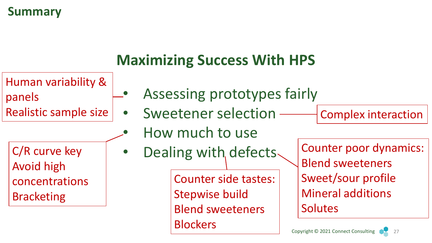## **Summary**

# **Maximizing Success With HPS**

![](_page_26_Figure_2.jpeg)

C/R curve key Avoid high concentrations Bracketing

- Assessing prototypes fairly
- Realistic sample size | Sweetener selection Complex interaction
	- How much to use
	- Dealing with defects.

Counter side tastes: Stepwise build Blend sweeteners **Blockers** 

Counter poor dynamics: Blend sweeteners Sweet/sour profile Mineral additions Solutes

![](_page_26_Picture_11.jpeg)